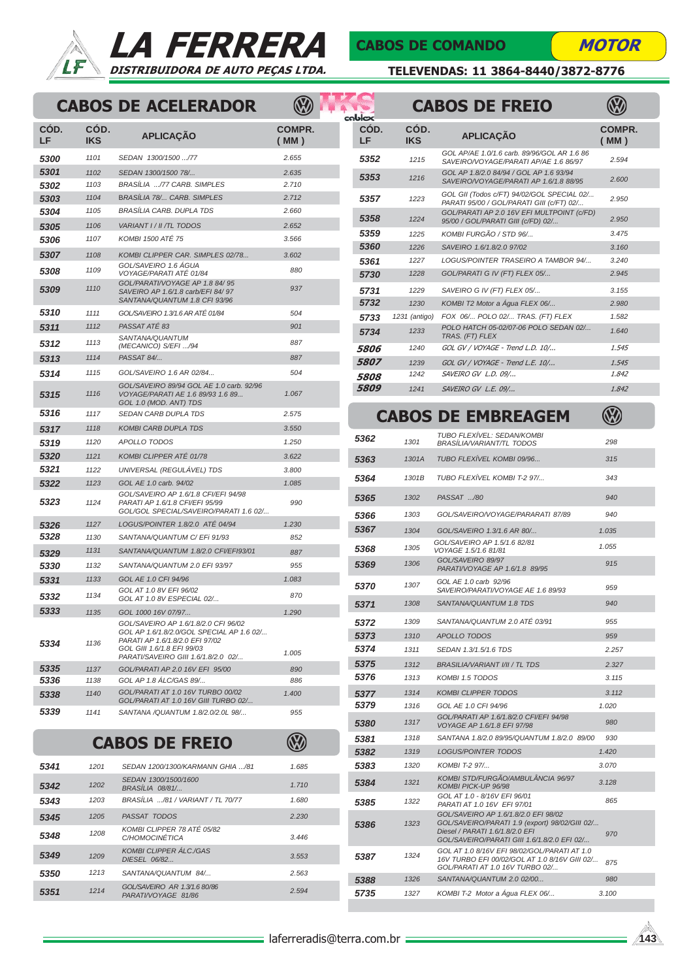



### CABOS DE COMANDO

**MOTOR** 

**V** 

TELEVENDAS: 11 3864-8440/3872-8776

# CABOS DE ACELERADOR (CABOS DE FREIO

| COD.<br>LF | COD.<br><b>IKS</b> | <b>APLICACÃO</b>                                                                                                                                                                          | <b>COMPR.</b><br>(MM) |
|------------|--------------------|-------------------------------------------------------------------------------------------------------------------------------------------------------------------------------------------|-----------------------|
| 5300       | 1101               | SEDAN 1300/1500 /77                                                                                                                                                                       | 2.655                 |
| 5301       | 1102               | SEDAN 1300/1500 78/                                                                                                                                                                       | 2.635                 |
| 5302       | 1103               | BRASÍLIA /77 CARB. SIMPLES                                                                                                                                                                | 2.710                 |
| 5303       | 1104               | <b>BRASÍLIA 78/ CARB. SIMPLES</b>                                                                                                                                                         | 2.712                 |
| 5304       | 1105               | <b>BRASÍLIA CARB. DUPLA TDS</b>                                                                                                                                                           | 2.660                 |
| 5305       | 1106               | VARIANT I / II / TL TODOS                                                                                                                                                                 | 2.652                 |
| 5306       | 1107               | KOMBI 1500 ATÉ 75                                                                                                                                                                         | 3.566                 |
| 5307       | 1108               | KOMBI CLIPPER CAR. SIMPLES 02/78                                                                                                                                                          | 3.602                 |
| 5308       | 1109               | GOL/SAVEIRO 1.6 ÁGUA<br>VOYAGE/PARATI ATÉ 01/84                                                                                                                                           | 880                   |
| 5309       | 1110               | GOL/PARATI/VOYAGE AP 1.8 84/95<br>SAVEIRO AP 1.6/1.8 carb/EFI 84/ 97<br>SANTANA/QUANTUM 1.8 CFI 93/96                                                                                     | 937                   |
| 5310       | 1111               | GOL/SAVEIRO 1.3/1.6 AR ATÉ 01/84                                                                                                                                                          | 504                   |
| 5311       | 1112               | PASSAT ATÉ 83                                                                                                                                                                             | 901                   |
| 5312       | 1113               | SANTANA/QUANTUM<br>(MECANICO) S/EFI /94                                                                                                                                                   | 887                   |
| 5313       | 1114               | PASSAT 84/                                                                                                                                                                                | 887                   |
| 5314       | 1115               | GOL/SAVEIRO 1.6 AR 02/84                                                                                                                                                                  | 504                   |
| 5315       | 1116               | GOL/SAVEIRO 89/94 GOL AE 1.0 carb. 92/96<br>VOYAGE/PARATI AE 1.6 89/93 1.6 89<br>GOL 1.0 (MOD. ANT) TDS                                                                                   | 1.067                 |
| 5316       | 1117               | SEDAN CARB DUPLA TDS                                                                                                                                                                      | 2.575                 |
| 5317       | 1118               | <b>KOMBI CARB DUPLA TDS</b>                                                                                                                                                               | 3.550                 |
| 5319       | 1120               | <b>APOLLO TODOS</b>                                                                                                                                                                       | 1.250                 |
| 5320       | 1121               | KOMBI CLIPPER ATÉ 01/78                                                                                                                                                                   | 3.622                 |
| 5321       | 1122               | UNIVERSAL (REGULÁVEL) TDS                                                                                                                                                                 | 3.800                 |
| 5322       | 1123               | GOL AE 1.0 carb. 94/02                                                                                                                                                                    | 1.085                 |
| 5323       | 1124               | GOL/SAVEIRO AP 1.6/1.8 CFI/EFI 94/98<br>PARATI AP 1.6/1.8 CFI/EFI 95/99<br>GOL/GOL SPECIAL/SAVEIRO/PARATI 1.6 02/                                                                         | 990                   |
| 5326       | 1127               | LOGUS/POINTER 1.8/2.0 ATÉ 04/94                                                                                                                                                           | 1.230                 |
| 5328       | 1130               | SANTANA/QUANTUM C/ EFi 91/93                                                                                                                                                              | 852                   |
| 5329       | 1131               | SANTANA/QUANTUM 1.8/2.0 CFI/EFI93/01                                                                                                                                                      | 887                   |
| 5330       | 1132               | SANTANA/QUANTUM 2.0 EFI 93/97                                                                                                                                                             | 955                   |
| 5331       | 1133               | GOL AE 1.0 CFI 94/96                                                                                                                                                                      | 1.083                 |
| 5332       | 1134               | GOL AT 1.0 8V EFI 96/02<br>GOL AT 1.0 8V ESPECIAL 02/                                                                                                                                     | 870                   |
| 5333       | 1135               | GOL 1000 16V 07/97                                                                                                                                                                        | 1.290                 |
| 5334       | 1136               | GOL/SAVEIRO AP 1.6/1.8/2.0 CFI 96/02<br>GOL AP 1.6/1.8/2.0/GOL SPECIAL AP 1.6 02/<br>PARATI AP 1.6/1.8/2.0 EFI 97/02<br>GOL GIII 1.6/1.8 EFI 99/03<br>PARATI/SAVEIRO GIII 1.6/1.8/2.0 02/ | 1.005                 |
| 5335       | 1137               | GOL/PARATI AP 2.0 16V EFI 95/00                                                                                                                                                           | 890                   |
| 5336       | 1138               | GOL AP 1.8 ALC/GAS 89/                                                                                                                                                                    | 886                   |
| 5338       | 1140               | GOL/PARATI AT 1.0 16V TURBO 00/02<br>GOL/PARATI AT 1.0 16V GIII TURBO 02/                                                                                                                 | 1.400                 |
| 5339       | 1141               | SANTANA / QUANTUM 1.8/2.0/2.0L 98/                                                                                                                                                        | 955                   |

## CABOS DE FREIO

| 5341 | 1201 | SEDAN 1200/1300/KARMANN GHIA /81                    | 1.685 |
|------|------|-----------------------------------------------------|-------|
| 5342 | 1202 | SEDAN 1300/1500/1600<br><b>BRASÍLIA 08/81/</b>      | 1.710 |
| 5343 | 1203 | BRASÍLIA /81 / VARIANT / TL 70/77                   | 1.680 |
| 5345 | 1205 | PASSAT TODOS                                        | 2.230 |
| 5348 | 1208 | KOMBI CLIPPER 78 ATÉ 05/82<br>C/HOMOCINÉTICA        | 3.446 |
| 5349 | 1209 | <b>KOMBI CLIPPER ÁLC./GAS</b><br>DIESEL 06/82       | 3.553 |
| 5350 | 1213 | SANTANA/QUANTUM 84/                                 | 2.563 |
| 5351 | 1214 | GOL/SAVEIRO AR 1.3/1.6 80/86<br>PARATI/VOYAGE 81/86 | 2.594 |

| lolox              |                    | <b>CABOS DE FREIO</b>                                                                   |                |
|--------------------|--------------------|-----------------------------------------------------------------------------------------|----------------|
| CÓD.<br>LF         | CÓD.<br><b>IKS</b> | <b>APLICAÇÃO</b>                                                                        | COMPR.<br>(MM) |
| 5352               | 1215               | GOL AP/AE 1.0/1.6 carb. 89/96/GOL AR 1.6 86<br>SAVEIRO/VOYAGE/PARATI AP/AE 1.6 86/97    | 2.594          |
| 5353               | 1216               | GOL AP 1.8/2.0 84/94 / GOL AP 1.6 93/94<br>SAVEIRO/VOYAGE/PARATI AP 1.6/1.8 88/95       | 2.600          |
| 5357               | 1223               | GOL GII (Todos c/FT) 94/02/GOL SPECIAL 02/<br>PARATI 95/00 / GOL/PARATI GIII (c/FT) 02/ | 2.950          |
| 5358               | 1224               | GOL/PARATI AP 2.0 16V EFI MULTPOINT (c/FD)<br>95/00 / GOL/PARATI GIII (c/FD) 02/        | 2.950          |
| 5359               | 1225               | KOMBI FURGÃO / STD 96/                                                                  | 3.475          |
| 5360               | 1226               | SAVEIRO 1.6/1.8/2.0 97/02                                                               | 3.160          |
| 5361               | 1227               | LOGUS/POINTER TRASEIRO A TAMBOR 94/                                                     | 3.240          |
| 5730               | 1228               | GOL/PARATI G IV (FT) FLEX 05/                                                           | 2.945          |
| 5731               | 1229               | SAVEIRO G IV (FT) FLEX 05/                                                              | 3.155          |
| 5732               | 1230               | KOMBI T2 Motor a Áqua FLEX 06/                                                          | 2.980          |
| 5733               | 1231 (antigo)      | FOX 06/ POLO 02/ TRAS. (FT) FLEX                                                        | 1.582          |
| 5734               | 1233               | POLO HATCH 05-02/07-06 POLO SEDAN 02/<br>TRAS. (FT) FLEX                                | 1.640          |
| 5806               | 1240               | GOL GV / VOYAGE - Trend L.D. 10/                                                        | 1.545          |
| <i><b>5807</b></i> | 1239               | GOL GV / VOYAGE - Trend L.E. 10/                                                        | 1.545          |
| <i><b>5808</b></i> | 1242               | SAVEIRO GV L.D. 09/                                                                     | 1.842          |
| 5809               | 1241               | SAVEIRO GV L.E. 09/                                                                     | 1.842          |
|                    |                    |                                                                                         |                |

### CABOS DE EMBREAGEM

|      |                                                                                                                   |       |      |              | TUBO FLEXÍVEL: SEDAN/KOMBI                                                                                                       |            |
|------|-------------------------------------------------------------------------------------------------------------------|-------|------|--------------|----------------------------------------------------------------------------------------------------------------------------------|------------|
| 120  | <b>APOLLO TODOS</b>                                                                                               | 1.250 | 5362 | 1301         | <b>BRASÍLIA/VARIANT/TL TODOS</b>                                                                                                 | 298        |
| 121  | KOMBI CLIPPER ATÉ 01/78                                                                                           | 3.622 | 5363 | 1301A        | TUBO FLEXÍVEL KOMBI 09/96                                                                                                        | 315        |
| 122  | UNIVERSAL (REGULÁVEL) TDS                                                                                         | 3.800 |      |              | TUBO FLEXÍVEL KOMBI T-2 97/                                                                                                      |            |
| 123  | GOL AE 1.0 carb. 94/02                                                                                            | 1.085 | 5364 | 1301B        |                                                                                                                                  | 343        |
| 124  | GOL/SAVEIRO AP 1.6/1.8 CFI/EFI 94/98<br>PARATI AP 1.6/1.8 CFI/EFI 95/99<br>GOL/GOL SPECIAL/SAVEIRO/PARATI 1.6 02/ | 990   | 5365 | 1302<br>1303 | PASSAT /80<br>GOL/SAVEIRO/VOYAGE/PARARATI 87/89                                                                                  | 940<br>940 |
| 127  | LOGUS/POINTER 1.8/2.0 ATÉ 04/94                                                                                   | 1.230 | 5366 |              |                                                                                                                                  |            |
| 130  | SANTANA/QUANTUM C/ EFi 91/93                                                                                      | 852   | 5367 | 1304         | GOL/SAVEIRO 1.3/1.6 AR 80/                                                                                                       | 1.035      |
| 131  | SANTANA/QUANTUM 1.8/2.0 CFI/EFI93/01                                                                              | 887   | 5368 | 1305         | GOL/SAVEIRO AP 1.5/1.6 82/81<br>VOYAGE 1.5/1.6 81/81                                                                             | 1.055      |
| 132  | SANTANA/QUANTUM 2.0 EFI 93/97                                                                                     | 955   | 5369 | 1306         | GOL/SAVEIRO 89/97<br>PARATI/VOYAGE AP 1.6/1.8 89/95                                                                              | 915        |
| 133  | GOL AE 1.0 CFI 94/96                                                                                              | 1.083 |      | 1307         | GOL AE 1.0 carb 92/96                                                                                                            |            |
| 134  | GOL AT 1.0 8V EFI 96/02<br>GOL AT 1.0 8V ESPECIAL 02/                                                             | 870   | 5370 |              | SAVEIRO/PARATI/VOYAGE AE 1.6 89/93                                                                                               | 959        |
|      |                                                                                                                   |       | 5371 | 1308         | SANTANA/QUANTUM 1.8 TDS                                                                                                          | 940        |
| 135  | GOL 1000 16V 07/97<br>GOL/SAVEIRO AP 1.6/1.8/2.0 CFI 96/02                                                        | 1.290 | 5372 | 1309         | SANTANA/QUANTUM 2.0 ATÉ 03/91                                                                                                    | 955        |
|      | GOL AP 1.6/1.8/2.0/GOL SPECIAL AP 1.6 02/<br>PARATI AP 1.6/1.8/2.0 EFI 97/02                                      |       | 5373 | 1310         | APOLLO TODOS                                                                                                                     | 959        |
| 136  | GOL GIII 1.6/1.8 EFI 99/03<br>PARATI/SAVEIRO GIII 1.6/1.8/2.0 02/                                                 | 1.005 | 5374 | 1311         | SEDAN 1.3/1.5/1.6 TDS                                                                                                            | 2.257      |
| 137  | GOL/PARATI AP 2.0 16V EFI 95/00                                                                                   | 890   | 5375 | 1312         | <b>BRASILIA/VARIANT I/II / TL TDS</b>                                                                                            | 2.327      |
| 138  | GOL AP 1.8 ÁLC/GAS 89/                                                                                            | 886   | 5376 | 1313         | <b>KOMBI 1.5 TODOS</b>                                                                                                           | 3.115      |
| 140  | GOL/PARATI AT 1.0 16V TURBO 00/02                                                                                 | 1.400 | 5377 | 1314         | <b>KOMBI CLIPPER TODOS</b>                                                                                                       | 3.112      |
|      | GOL/PARATI AT 1.0 16V GIII TURBO 02/                                                                              |       | 5379 | 1316         | GOL AE 1.0 CFI 94/96                                                                                                             | 1.020      |
| 141  | SANTANA / QUANTUM 1.8/2.0/2.0L 98/                                                                                | 955   | 5380 | 1317         | GOL/PARATI AP 1.6/1.8/2.0 CFI/EFI 94/98<br>VOYAGE AP 1.6/1.8 EFI 97/98                                                           | 980        |
|      | <b>CABOS DE FREIO</b>                                                                                             |       | 5381 | 1318         | SANTANA 1.8/2.0 89/95/QUANTUM 1.8/2.0 89/00                                                                                      | 930        |
|      |                                                                                                                   |       | 5382 | 1319         | <b>LOGUS/POINTER TODOS</b>                                                                                                       | 1.420      |
| 1201 | SEDAN 1200/1300/KARMANN GHIA /81                                                                                  | 1.685 | 5383 | 1320         | KOMBI T-2 97/                                                                                                                    | 3.070      |
| 1202 | SEDAN 1300/1500/1600<br><b>BRASILIA 08/81/</b>                                                                    | 1.710 | 5384 | 1321         | KOMBI STD/FURGÃO/AMBULÂNCIA 96/97<br>KOMBI PICK-UP 96/98                                                                         | 3.128      |
| 1203 | BRASÍLIA /81 / VARIANT / TL 70/77                                                                                 | 1.680 | 5385 | 1322         | GOL AT 1.0 - 8/16V EFI 96/01<br>PARATI AT 1.0 16V EFI 97/01                                                                      | 865        |
| 1205 | PASSAT TODOS                                                                                                      | 2.230 |      |              | GOL/SAVEIRO AP 1.6/1.8/2.0 EFI 98/02<br>GOL/SAVEIRO/PARATI 1.9 (export) 98/02/GIII 02/                                           |            |
| 1208 | KOMBI CLIPPER 78 ATÉ 05/82<br>C/HOMOCINÉTICA                                                                      | 3.446 | 5386 | 1323         | Diesel / PARATI 1.6/1.8/2.0 EFI<br>GOL/SAVEIRO/PARATI GIII 1.6/1.8/2.0 EFI 02/                                                   | 970        |
| 1209 | <b>KOMBI CLIPPER ÁLC./GAS</b><br>DIESEL 06/82                                                                     | 3.553 | 5387 | 1324         | GOL AT 1.0 8/16V EFI 98/02/GOL/PARATI AT 1.0<br>16V TURBO EFI 00/02/GOL AT 1.0 8/16V GIII 02/<br>GOL/PARATI AT 1.0 16V TURBO 02/ | 875        |
| 1213 | SANTANA/QUANTUM 84/                                                                                               | 2.563 | 5388 | 1326         | SANTANA/QUANTUM 2.0 02/00                                                                                                        | 980        |
| 1214 | GOL/SAVEIRO AR 1.3/1.6 80/86<br>PARATI/VOYAGE 81/86                                                               | 2.594 | 5735 | 1327         | KOMBI T-2 Motor a Áqua FLEX 06/                                                                                                  | 3.100      |
|      |                                                                                                                   |       |      |              |                                                                                                                                  |            |

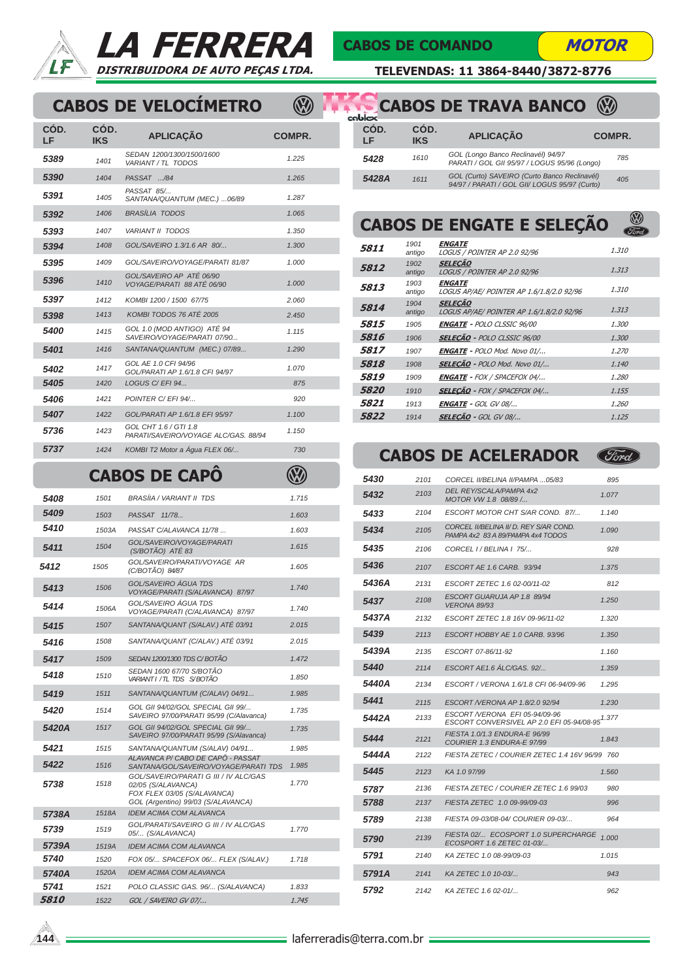

## LA FERRERA DISTRIBUIDORA DE AUTO PEÇAS LTDA.

**V** 

#### CABOS DE COMANDO

**MOTOR** 

TELEVENDAS: 11 3864-8440/3872-8776

## CABOS DE VELOCÍMETRO

| COD.<br>LF | COD.<br><b>IKS</b> | <b>APLICAÇÃO</b>                                              | <b>COMPR.</b> | COD.<br>LF   |
|------------|--------------------|---------------------------------------------------------------|---------------|--------------|
| 5389       | 1401               | SEDAN 1200/1300/1500/1600<br>VARIANT / TL TODOS               | 1.225         | 5428         |
| 5390       | 1404               | PASSAT /84                                                    | 1.265         | 5428         |
| 5391       | 1405               | PASSAT 85/<br>SANTANA/QUANTUM (MEC.)  06/89                   | 1.287         |              |
| 5392       | 1406               | <b>BRASÍLIA TODOS</b>                                         | 1.065         |              |
| 5393       | 1407               | <b>VARIANT II TODOS</b>                                       | 1.350         | <b>CAI</b>   |
| 5394       | 1408               | GOL/SAVEIRO 1.3/1.6 AR 80/                                    | 1.300         | 5811         |
| 5395       | 1409               | GOL/SAVEIRO/VOYAGE/PARATI 81/87                               | 1.000         | 5812         |
| 5396       | 1410               | GOL/SAVEIRO AP ATÉ 06/90<br>VOYAGE/PARATI 88 ATÉ 06/90        | 1.000         | 5813         |
| 5397       | 1412               | KOMBI 1200 / 1500 67/75                                       | 2.060         |              |
| 5398       | 1413               | KOMBI TODOS 76 ATÉ 2005                                       | 2.450         | 5814         |
| 5400       | 1415               | GOL 1.0 (MOD ANTIGO) ATÉ 94<br>SAVEIRO/VOYAGE/PARATI_07/90    | 1.115         | 5815<br>5816 |
| 5401       | 1416               | SANTANA/QUANTUM (MEC.) 07/89                                  | 1.290         | 5817         |
| 5402       | 1417               | GOL AE 1.0 CFI 94/96<br>GOL/PARATI AP 1.6/1.8 CFI 94/97       | 1.070         | 5818         |
| 5405       | 1420               | LOGUS C/ EFI 94                                               | 875           | 5819<br>5820 |
| 5406       | 1421               | POINTER C/ EFI 94/                                            | 920           | 5821         |
| 5407       | 1422               | GOL/PARATI AP 1.6/1.8 EFI 95/97                               | 1.100         | 5822         |
| 5736       | 1423               | GOL CHT 1.6 / GTI 1.8<br>PARATI/SAVEIRO/VOYAGE ALC/GAS, 88/94 | 1.150         |              |
| 5737       | 1424               | KOMBI T2 Motor a Água FLEX 06/                                | 730           |              |
|            |                    | CAROS DE CAPO                                                 |               | <b>FA01</b>  |

#### CABOS DE CAPÔ

| 5408  | 1501  | <b>BRASÍIA / VARIANT II TDS</b>                                                                                                  | 1.715 |
|-------|-------|----------------------------------------------------------------------------------------------------------------------------------|-------|
| 5409  | 1503  | PASSAT 11/78                                                                                                                     | 1.603 |
| 5410  | 1503A | PASSAT C/ALAVANCA 11/78                                                                                                          | 1.603 |
| 5411  | 1504  | GOL/SAVEIRO/VOYAGE/PARATI<br>$(S/BOTÃO)$ ATÉ 83                                                                                  | 1.615 |
| 5412  | 1505  | GOL/SAVEIRO/PARATI/VOYAGE AR<br>(C/BOTÃO) 84/87                                                                                  | 1.605 |
| 5413  | 1506  | GOL/SAVEIRO ÁGUA TDS<br>VOYAGE/PARATI (S/ALAVANCA) 87/97                                                                         | 1.740 |
| 5414  | 1506A | GOL/SAVEIRO ÁGUA TDS<br>VOYAGE/PARATI (C/ALAVANCA) 87/97                                                                         | 1.740 |
| 5415  | 1507  | SANTANA/QUANT (S/ALAV.) ATÉ 03/91                                                                                                | 2.015 |
| 5416  | 1508  | SANTANA/QUANT (C/ALAV.) ATÉ 03/91                                                                                                | 2.015 |
| 5417  | 1509  | SEDAN 1200/1300 TDS C/BOTÃO                                                                                                      | 1.472 |
| 5418  | 1510  | SEDAN 1600 67/70 S/BOTÃO<br>VARIANTI / TL TDS S/BOTÃO                                                                            | 1.850 |
| 5419  | 1511  | SANTANA/QUANTUM (C/ALAV) 04/91                                                                                                   | 1.985 |
| 5420  | 1514  | GOL GII 94/02/GOL SPECIAL GII 99/<br>SAVEIRO 97/00/PARATI 95/99 (C/Alavanca)                                                     | 1.735 |
| 5420A | 1517  | GOL GII 94/02/GOL SPECIAL GII 99/<br>SAVEIRO 97/00/PARATI 95/99 (S/Alavanca)                                                     | 1.735 |
| 5421  | 1515  | SANTANA/QUANTUM (S/ALAV) 04/91                                                                                                   | 1.985 |
| 5422  | 1516  | ALAVANCA P/ CABO DE CAPÔ - PASSAT<br>SANTANA/GOL/SAVEIRO/VOYAGE/PARATI TDS                                                       | 1.985 |
| 5738  | 1518  | GOL/SAVEIRO/PARATI G III / IV ALC/GAS<br>02/05 (S/ALAVANCA)<br>FOX FLEX 03/05 (S/ALAVANCA)<br>GOL (Argentino) 99/03 (S/ALAVANCA) | 1.770 |
| 5738A | 1518A | <b>IDEM ACIMA COM ALAVANCA</b>                                                                                                   |       |
| 5739  | 1519  | GOL/PARATI/SAVEIRO G III / IV ALC/GAS<br>05/ (S/ALAVANCA)                                                                        | 1.770 |
| 5739A | 1519A | <b>IDEM ACIMA COM ALAVANCA</b>                                                                                                   |       |
| 5740  | 1520  | FOX 05/ SPACEFOX 06/ FLEX (S/ALAV.)                                                                                              | 1.718 |
| 5740A | 1520A | <b>IDEM ACIMA COM ALAVANCA</b>                                                                                                   |       |
| 5741  | 1521  | POLO CLASSIC GAS. 96/ (S/ALAVANCA)                                                                                               | 1.833 |
| 5810  | 1522  | GOL / SAVEIRO GV 07/                                                                                                             | 1.745 |

| coblex     |                    | <b>CABOS DE TRAVA BANCO</b>                                                                   |        |
|------------|--------------------|-----------------------------------------------------------------------------------------------|--------|
| CÓD.<br>LF | CÓD.<br><b>IKS</b> | <b>APLICAÇÃO</b>                                                                              | COMPR. |
| 5428       | 1610               | GOL (Longo Banco Reclinavél) 94/97<br>PARATI / GOL GII 95/97 / LOGUS 95/96 (Longo)            | 785    |
| 5428A      | 1611               | GOL (Curto) SAVEIRO (Curto Banco Reclinavél)<br>94/97 / PARATI / GOL GII/ LOGUS 95/97 (Curto) | 405    |

#### **D**<br>Tord CABOS DE ENGATE E SELEÇÃO

| 5811               | 1901<br>antigo | <b>ENGATE</b><br>LOGUS / POINTER AP 2.0 92/96               | 1.310 |
|--------------------|----------------|-------------------------------------------------------------|-------|
| 5812               | 1902<br>antigo | <b>SELECÃO</b><br>LOGUS / POINTER AP 2.0 92/96              | 1.313 |
| 5813               | 1903<br>antigo | <b>ENGATE</b><br>LOGUS AP/AE/ POINTER AP 1.6/1.8/2.0 92/96  | 1.310 |
| 5814               | 1904<br>antigo | <b>SELECÃO</b><br>LOGUS AP/AE/ POINTER AP 1.6/1.8/2.0 92/96 | 1.313 |
| 5815               | 1905           | <b>ENGATE -</b> POLO CLSSIC 96/00                           | 1.300 |
| 5816               | 1906           | <b>SELECÃO - POLO CLSSIC 96/00</b>                          | 1.300 |
| 5817               | 1907           | <b>ENGATE - POLO Mod. Novo 01/</b>                          | 1.270 |
| 5818               | 1908           | <b>SELECÃO</b> - POLO Mod. Novo 01/                         | 1.140 |
| <i><b>5819</b></i> | 1909           | <b>ENGATE -</b> FOX / SPACEFOX 04/                          | 1.280 |
| <i><b>5820</b></i> | 1910           | <b>SELECÃO - FOX / SPACEFOX 04/</b>                         | 1.155 |
| 5821               | 1913           | <b>ENGATE - GOL GV 08/</b>                                  | 1.260 |
| 5822               | 1914           | <b>SELECÃO</b> - GOL GV 08/                                 | 1.125 |

|       |      | <b>CABOS DE ACELERADOR</b>                                                   |       |
|-------|------|------------------------------------------------------------------------------|-------|
| 5430  | 2101 | CORCEL II/BELINA II/PAMPA 05/83                                              | 895   |
| 5432  | 2103 | DEL REY/SCALA/PAMPA 4x2<br>MOTOR VW 1.8 08/89 /                              | 1.077 |
| 5433  | 2104 | ESCORT MOTOR CHT S/AR COND. 87/                                              | 1.140 |
| 5434  | 2105 | CORCEL II/BELINA II/ D. REY S/AR COND.<br>PAMPA 4x2 83 A 89/PAMPA 4x4 TODOS  | 1.090 |
| 5435  | 2106 | CORCEL I / BELINA I 75/                                                      | 928   |
| 5436  | 2107 | ESCORT AE 1.6 CARB. 93/94                                                    | 1.375 |
| 5436A | 2131 | ESCORT ZETEC 1.6 02-00/11-02                                                 | 812   |
| 5437  | 2108 | ESCORT GUARUJA AP 1.8 89/94<br><b>VERONA 89/93</b>                           | 1.250 |
| 5437A | 2132 | ESCORT ZETEC 1.8 16V 09-96/11-02                                             | 1.320 |
| 5439  | 2113 | ESCORT HOBBY AE 1.0 CARB. 93/96                                              | 1.350 |
| 5439A | 2135 | ESCORT 07-86/11-92                                                           | 1.160 |
| 5440  | 2114 | ESCORT AE1.6 ALC/GAS. 92/                                                    | 1.359 |
| 5440A | 2134 | ESCORT / VERONA 1.6/1.8 CFI 06-94/09-96                                      | 1.295 |
| 5441  | 2115 | <i>ESCORT NERONA AP 1.8/2.0 92/94</i>                                        | 1.230 |
| 5442A | 2133 | ESCORT / VERONA EFI 05-94/09-96<br>ESCORT CONVERSIVEL AP 2.0 EFI 05-94/08-95 | 1.377 |
| 5444  | 2121 | FIESTA 1.0/1.3 ENDURA-E 96/99<br>COURIER 1.3 ENDURA-E 97/99                  | 1.843 |
| 5444A | 2122 | FIESTA ZETEC / COURIER ZETEC 1.4 16V 96/99 760                               |       |
| 5445  | 2123 | KA 1.0 97/99                                                                 | 1.560 |
| 5787  | 2136 | FIESTA ZETEC / COURIER ZETEC 1.6 99/03                                       | 980   |
| 5788  | 2137 | FIESTA ZETEC 1.0 09-99/09-03                                                 | 996   |
| 5789  | 2138 | FIESTA 09-03/08-04/ COURIER 09-03/                                           | 964   |
| 5790  | 2139 | FIESTA 02/ ECOSPORT 1.0 SUPERCHARGE 1.000<br>ECOSPORT 1.6 ZETEC 01-03/       |       |
| 5791  | 2140 | KA ZETEC 1.0 08-99/09-03                                                     | 1.015 |
| 5791A | 2141 | KA ZETEC 1.0 10-03/                                                          | 943   |
| 5792  | 2142 | KA ZETEC 1.6 02-01/                                                          | 962   |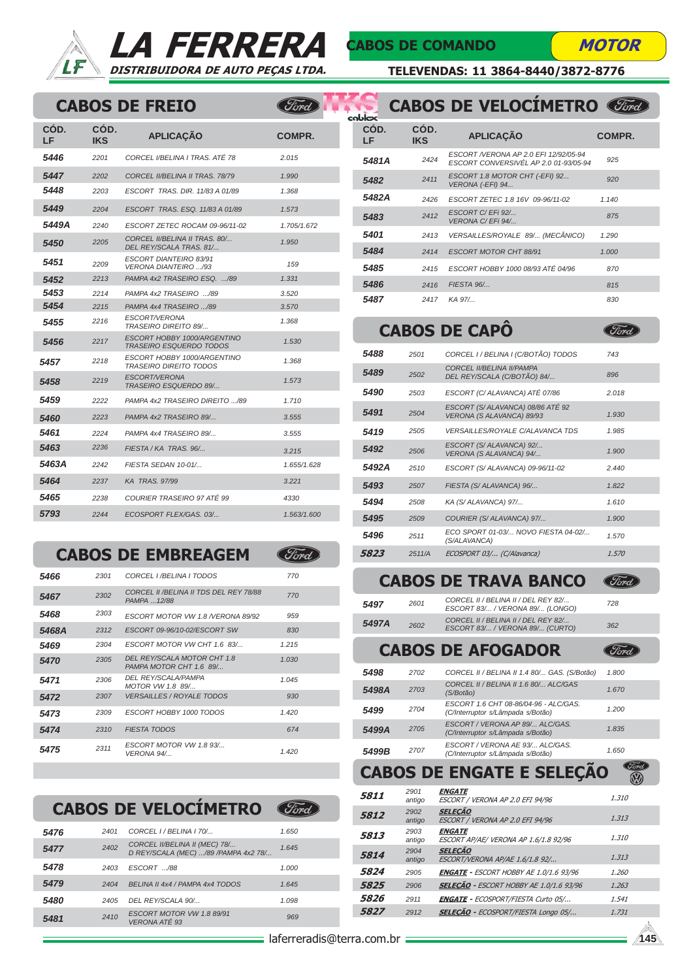



(Ford)

(Ford)

C)

## CABOS DE COMANDO MOTOR

(Ford)

(Ford)

TELEVENDAS: 11 3864-8440/3872-8776

#### CABOS DE FREIO

| CÓD.<br>LF | CÓD.<br><b>IKS</b> | <b>APLICACÃO</b>                                              | COMPR.      |
|------------|--------------------|---------------------------------------------------------------|-------------|
| 5446       | 2201               | CORCEL VBELINA I TRAS. ATÉ 78                                 | 2.015       |
| 5447       | 2202               | CORCEL IVBELINA II TRAS. 78/79                                | 1.990       |
| 5448       | 2203               | ESCORT TRAS, DIR, 11/83 A 01/89                               | 1.368       |
| 5449       | 2204               | ESCORT TRAS. ESQ. 11/83 A 01/89                               | 1.573       |
| 5449A      | 2240               | ESCORT ZETEC ROCAM 09-96/11-02                                | 1.705/1.672 |
| 5450       | 2205               | CORCEL II/BELINA II TRAS. 80/<br>DEL REY/SCALA TRAS. 81/      | 1.950       |
| 5451       | 2209               | ESCORT DIANTEIRO 83/91<br><b>VERONA DIANTEIRO /93</b>         | 159         |
| 5452       | 2213               | PAMPA 4x2 TRASEIRO ESO. /89                                   | 1.331       |
| 5453       | 2214               | PAMPA 4x2 TRASEIRO /89                                        | 3.520       |
| 5454       | 2215               | PAMPA 4x4 TRASEIRO /89                                        | 3.570       |
| 5455       | 2216               | ESCORT/VERONA<br><b>TRASEIRO DIREITO 89/</b>                  | 1.368       |
| 5456       | 2217               | ESCORT HOBBY 1000/ARGENTINO<br><b>TRASEIRO ESQUERDO TODOS</b> | 1.530       |
| 5457       | 2218               | ESCORT HOBBY 1000/ARGENTINO<br><b>TRASEIRO DIREITO TODOS</b>  | 1.368       |
| 5458       | 2219               | ESCORT/VERONA<br>TRASEIRO ESQUERDO 89/                        | 1.573       |
| 5459       | 2222               | PAMPA 4x2 TRASEIRO DIREITO /89                                | 1.710       |
| 5460       | 2223               | PAMPA 4x2 TRASEIRO 89/                                        | 3.555       |
| 5461       | 2224               | PAMPA 4x4 TRASEIRO 89/                                        | 3.555       |
| 5463       | 2236               | FIESTA / KA TRAS. 96/                                         | 3.215       |
| 5463A      | 2242               | FIESTA SEDAN 10-01/                                           | 1.655/1.628 |
| 5464       | 2237               | <b>KA TRAS. 97/99</b>                                         | 3.221       |
| 5465       | 2238               | COURIER TRASEIRO 97 ATÉ 99                                    | 4330        |
| 5793       | 2244               | ECOSPORT FLEX/GAS, 03/                                        | 1.563/1.600 |

#### CABOS DE EMBREAGEM

| 5466               | 2301 | CORCEL I / BELINA I TODOS                              | 770   |
|--------------------|------|--------------------------------------------------------|-------|
| 5467               | 2302 | CORCEL II / BELINA II TDS DEL REY 78/88<br>PAMPA 12/88 | 770   |
| 5468               | 2303 | ESCORT MOTOR VW 1.8 /VERONA 89/92                      | 959   |
| 5468A              | 2312 | ESCORT 09-96/10-02/ESCORT SW                           | 830   |
| 5469               | 2304 | ESCORT MOTOR VW CHT 1.6 83/                            | 1.215 |
| <i><b>5470</b></i> | 2305 | DEL REY/SCALA MOTOR CHT 1.8<br>PAMPA MOTOR CHT 1.6 89/ | 1.030 |
| 5471               | 2306 | <b>DEL REY/SCALA/PAMPA</b><br>MOTOR VW 1.8 89/         | 1.045 |
| 5472               | 2307 | <b>VERSAILLES / ROYALE TODOS</b>                       | 930   |
| 5473               | 2309 | ESCORT HOBBY 1000 TODOS                                | 1.420 |
| 5474               | 2310 | <b>FIESTA TODOS</b>                                    | 674   |
| 5475               | 2311 | ESCORT MOTOR VW 1.8 93/<br><b>VERONA 94/</b>           | 1.420 |

CABOS DE VELOCÍMETRO

| 5476 | 2401 | CORCEL I / BELINA I 70/                                               | 1.650 |
|------|------|-----------------------------------------------------------------------|-------|
| 5477 | 2402 | CORCEL II/BELINA II (MEC) 78/<br>D REY/SCALA (MEC) /89 /PAMPA 4x2 78/ | 1.645 |
| 5478 | 2403 | ESCORT /88                                                            | 1.000 |
| 5479 | 2404 | BELINA II 4x4 / PAMPA 4x4 TODOS                                       | 1.645 |
| 5480 | 2405 | DEL REY/SCALA 90/                                                     | 1.098 |
| 5481 | 2410 | ESCORT MOTOR VW 1.8 89/91<br><b>VERONA ATÉ 93</b>                     | 969   |

| hblox      |                    | <b>CABOS DE VELOCÍMETRO</b>                                                     |        |
|------------|--------------------|---------------------------------------------------------------------------------|--------|
| CÓD.<br>LF | CÓD.<br><b>IKS</b> | <b>APLICACÃO</b>                                                                | COMPR. |
| 5481A      | 2424               | ESCORT / VERONA AP 2.0 EFI 12/92/05-94<br>ESCORT CONVERSIVÉL AP 2.0 01-93/05-94 | 925    |
| 5482       | 2411               | ESCORT 1.8 MOTOR CHT (-EFI) 92<br>VERONA (-EFI) 94                              | 920    |
| 5482A      | 2426               | ESCORT ZETEC 1.8 16V 09-96/11-02                                                | 1.140  |
| 5483       | 2412               | ESCORT C/ EFI 92/<br>VERONA C/ EFi 94/                                          | 875    |
| 5401       | 2413               | VERSAILLES/ROYALE 89/ (MECÂNICO)                                                | 1.290  |
| 5484       | 2414               | <b>ESCORT MOTOR CHT 88/91</b>                                                   | 1.000  |
| 5485       | 2415               | ESCORT HOBBY 1000 08/93 ATÉ 04/96                                               | 870    |
| 5486       | 2416               | FIESTA 96/                                                                      | 815    |
| 5487       | 2417               | KA 97/                                                                          | 830    |

### CABOS DE CAPÔ

| 5488  | 2501   | CORCEL I / BELINA I (C/BOTÃO) TODOS                           | 743   |
|-------|--------|---------------------------------------------------------------|-------|
| 5489  | 2502   | CORCEL IVBELINA IVPAMPA<br>DEL REY/SCALA (C/BOTÃO) 84/        | 896   |
| 5490  | 2503   | ESCORT (C/ ALAVANCA) ATÉ 07/86                                | 2.018 |
| 5491  | 2504   | ESCORT (S/ALAVANCA) 08/86 ATÉ 92<br>VERONA (S ALAVANCA) 89/93 | 1.930 |
| 5419  | 2505   | <b>VERSAILLES/ROYALE C/ALAVANCA TDS</b>                       | 1.985 |
| 5492  | 2506   | ESCORT (S/ ALAVANCA) 92/<br>VERONA (S ALAVANCA) 94/           | 1.900 |
| 5492A | 2510   | ESCORT (S/ ALAVANCA) 09-96/11-02                              | 2.440 |
| 5493  | 2507   | FIESTA (S/ ALAVANCA) 96/                                      | 1.822 |
| 5494  | 2508   | KA (S/ ALAVANCA) 97/                                          | 1.610 |
| 5495  | 2509   | COURIER (S/ ALAVANCA) 97/                                     | 1.900 |
| 5496  | 2511   | ECO SPORT 01-03/ NOVO FIESTA 04-02/<br>(S/ALAVANCA)           | 1.570 |
| 5823  | 2511/A | ECOSPORT 03/ (C/Alavanca)                                     | 1.570 |
|       |        |                                                               |       |

#### CABOS DE TRAVA BANCO (Ford)

| 5497  | 2601 | CORCEL II / BELINA II / DEL REY 82/<br>ESCORT 83/ / VERONA 89/ (LONGO) | 728 |
|-------|------|------------------------------------------------------------------------|-----|
| 5497A | 2602 | CORCEL II / BELINA II / DEL REY 82/<br>ESCORT 83/ / VERONA 89/ (CURTO) | 362 |
|       |      |                                                                        |     |

## CABOS DE AFOGADOR

| 5498  | 2702 | CORCEL II / BELINA II 1.4 80/ GAS. (S/Botão)                               | 1.800 |
|-------|------|----------------------------------------------------------------------------|-------|
| 5498A | 2703 | CORCEL II / BELINA II 1.6 80/ ALC/GAS<br>(S/Botão)                         | 1.670 |
| 5499  | 2704 | ESCORT 1.6 CHT 08-86/04-96 - ALC/GAS.<br>(C/Interruptor s/Lâmpada s/Botão) | 1.200 |
| 5499A | 2705 | ESCORT / VERONA AP 89/ ALC/GAS.<br>(C/Interruptor s/Lâmpada s/Botão)       | 1.835 |
| 5499B | 2707 | ESCORT / VERONA AE 93/ ALC/GAS.<br>(C/Interruptor s/Lâmpada s/Botão)       | 1.650 |

#### CABOS DE ENGATE E SELEÇÃO Tord<br>(Na)

| 5811 | 2901<br>antigo | <b>ENGATE</b><br>ESCORT / VERONA AP 2.0 EFI 94/96      | 1.310 |  |
|------|----------------|--------------------------------------------------------|-------|--|
| 5812 | 2902<br>antigo | <b>SELECÃO</b><br>ESCORT / VERONA AP 2.0 EFI 94/96     | 1.313 |  |
| 5813 | 2903<br>antigo | <b>ENGATE</b><br>ESCORT AP/AE/ VERONA AP 1.6/1.8 92/96 | 1.310 |  |
| 5814 | 2904<br>antigo | <b>SELECÃO</b><br>ESCORT/VERONA AP/AE 1.6/1.8 92/      | 1.313 |  |
| 5824 | 2905           | <b>ENGATE - ESCORT HOBBY AE 1.0/1.6 93/96</b>          | 1.260 |  |
| 5825 | 2906           | <b>SELECÃO</b> - ESCORT HOBBY AE 1.0/1.6 93/96         | 1.263 |  |
| 5826 | 2911           | <b>ENGATE -</b> ECOSPORT/FIESTA Curto 05/              | 1.541 |  |
| 5827 | 2912           | <b>SELECÃO</b> - ECOSPORT/FIESTA Longo 05/             | 1.731 |  |
|      |                |                                                        |       |  |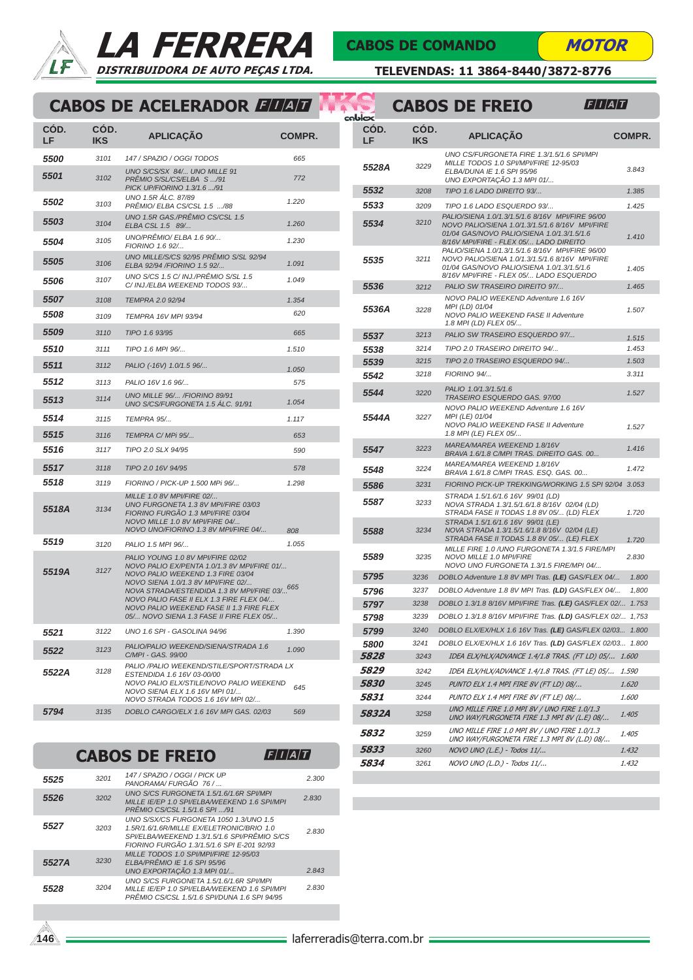



Â V



TELEVENDAS: 11 3864-8440/3872-8776

## CABOS DE ACELERADOR ELLE

| COD.<br>LF         | COD.<br><b>IKS</b> | <b>APLICAÇÃO</b>                                                                                                                                                                                                                                                                                                                                            | <b>COMPR.</b> |
|--------------------|--------------------|-------------------------------------------------------------------------------------------------------------------------------------------------------------------------------------------------------------------------------------------------------------------------------------------------------------------------------------------------------------|---------------|
| <i><b>5500</b></i> | 3101               | 147 / SPAZIO / OGGI TODOS                                                                                                                                                                                                                                                                                                                                   | 665           |
| 5501               | 3102               | UNO S/CS/SX 84/ UNO MILLE 91<br>PRÊMIO S/SL/CS/ELBA S /91<br>PICK UP/FIORINO 1.3/1.6 /91                                                                                                                                                                                                                                                                    | 772           |
| 5502               | 3103               | UNO 1.5R ÁLC. 87/89<br>PRÊMIO/ ELBA CS/CSL 1.5 /88                                                                                                                                                                                                                                                                                                          | 1.220         |
| 5503               | 3104               | UNO 1.5R GAS./PRÊMIO CS/CSL 1.5<br>ELBA CSL 1.5 89/                                                                                                                                                                                                                                                                                                         | 1.260         |
| 5504               | 3105               | UNO/PRÊMIO/ ELBA 1.6 90/<br>FIORINO 1.6 92/                                                                                                                                                                                                                                                                                                                 | 1.230         |
| 5505               | 3106               | UNO MILLE/S/CS 92/95 PRÊMIO S/SL 92/94<br>ELBA 92/94 /FIORINO 1.5 92/                                                                                                                                                                                                                                                                                       | 1.091         |
| 5506               | 3107               | UNO S/CS 1.5 C/ INJ./PRÊMIO S/SL 1.5<br>C/ INJ./ELBA WEEKEND TODOS 93/                                                                                                                                                                                                                                                                                      | 1.049         |
| 5507               | 3108               | TEMPRA 2.0 92/94                                                                                                                                                                                                                                                                                                                                            | 1.354         |
| 5508               | 3109               | TEMPRA 16V MPI 93/94                                                                                                                                                                                                                                                                                                                                        | 620           |
| 5509               | 3110               | TIPO 1.6 93/95                                                                                                                                                                                                                                                                                                                                              | 665           |
| 5510               | 3111               | TIPO 1.6 MPI 96/                                                                                                                                                                                                                                                                                                                                            | 1.510         |
| 5511               | 3112               | PALIO (-16V) 1.0/1.5 96/                                                                                                                                                                                                                                                                                                                                    | 1.050         |
| 5512               | 3113               | PALIO 16V 1.6 96/                                                                                                                                                                                                                                                                                                                                           | 575           |
| 5513               | 3114               | UNO MILLE 96/ /FIORINO 89/91<br>UNO S/CS/FURGONETA 1.5 ÁLC. 91/91                                                                                                                                                                                                                                                                                           | 1.054         |
| 5514               | 3115               | TEMPRA 95/                                                                                                                                                                                                                                                                                                                                                  | 1.117         |
| 5515               | 3116               | TEMPRA C/MPi 95/                                                                                                                                                                                                                                                                                                                                            | 653           |
| 5516               | 3117               | TIPO 2.0 SLX 94/95                                                                                                                                                                                                                                                                                                                                          | 590           |
| 5517               | 3118               | TIPO 2.0 16V 94/95                                                                                                                                                                                                                                                                                                                                          | 578           |
| 5518               | 3119               | FIORINO / PICK-UP 1.500 MPi 96/                                                                                                                                                                                                                                                                                                                             | 1.298         |
| 5518A              | 3134               | MILLE 1.0 8V MPI/FIRE 02/<br>UNO FURGONETA 1.3 8V MPI/FIRE 03/03<br>FIORINO FURGÃO 1.3 MPI/FIRE 03/04<br>NOVO MILLE 1.0 8V MPI/FIRE 04/<br>NOVO UNO/FIORINO 1.3 8V MPI/FIRE 04/                                                                                                                                                                             | 808           |
| 5519               | 3120               | PALIO 1.5 MPI 96/                                                                                                                                                                                                                                                                                                                                           | 1.055         |
| 5519A              | 3127               | PALIO YOUNG 1.0 8V MPI/FIRE 02/02<br>NOVO PALIO EX/PENTA 1.0/1.3 8V MPI/FIRE 01/<br>NOVO PALIO WEEKEND 1.3 FIRE 03/04<br>NOVO SIENA 1.0/1.3 8V MPI/FIRE 02/<br>NOVA STRADA/ESTENDIDA 1.3 8V MPI/FIRE 03/ <sup>665</sup><br>NOVO PALIO FASE II ELX 1.3 FIRE FLEX 04/<br>NOVO PALIO WEEKEND FASE II 1.3 FIRE FLEX<br>05/ NOVO SIENA 1.3 FASE II FIRE FLEX 05/ |               |
| 5521               | 3122               | UNO 1.6 SPI - GASOLINA 94/96                                                                                                                                                                                                                                                                                                                                | 1.390         |
| 5522               | 3123               | PALIO/PALIO WEEKEND/SIENA/STRADA 1.6<br>C/MPI - GAS. 99/00                                                                                                                                                                                                                                                                                                  | 1.090         |
| 5522A              | 3128               | PALIO /PALIO WEEKEND/STILE/SPORT/STRADA LX<br>ESTENDIDA 1.6 16V 03-00/00<br>NOVO PALIO ELX/STILE/NOVO PALIO WEEKEND<br>NOVO SIENA ELX 1.6 16V MPI 01/<br>NOVO STRADA TODOS 1.6 16V MPI 02/                                                                                                                                                                  | 645           |
| 5794               | 3135               | DOBLO CARGO/ELX 1.6 16V MPI GAS. 02/03                                                                                                                                                                                                                                                                                                                      | 569           |
|                    |                    |                                                                                                                                                                                                                                                                                                                                                             |               |

#### CABOS DE FREIO  $F/I/A/T$

| 5525  | 3201 | 147 / SPAZIO / OGGI / PICK UP<br>PANORAMA/FURGÃO 76 /                                                                                                                             | 2.300 |
|-------|------|-----------------------------------------------------------------------------------------------------------------------------------------------------------------------------------|-------|
| 5526  | 3202 | UNO S/CS FURGONETA 1.5/1.6/1.6R SPI/MPI<br>MILLE IE/EP 1.0 SPI/ELBA/WEEKEND 1.6 SPI/MPI<br>PRÊMIO CS/CSL 1.5/1.6 SPL /91                                                          | 2.830 |
| 5527  | 3203 | UNO S/SX/CS FURGONETA 1050 1.3/UNO 1.5<br>1.5R/1.6/1.6R/MILLE EX/ELETRONIC/BRIO 1.0<br>SPI/ELBA/WEEKEND 1.3/1.5/1.6 SPI/PRÊMIO S/CS<br>FIORINO FURGÃO 1.3/1.5/1.6 SPI E-201 92/93 | 2.830 |
| 5527A | 3230 | MILLE TODOS 1.0 SPI/MPI/FIRE 12-95/03<br>ELBA/PRÊMIO IE 1.6 SPI 95/96<br>UNO EXPORTAÇÃO 1.3 MPI 01/                                                                               | 2.843 |
| 5528  | 3204 | UNO S/CS FURGONETA 1.5/1.6/1.6R SPI/MPI<br>MILLE IE/EP 1.0 SPI/ELBA/WEEKEND 1.6 SPI/MPI<br>PRÊMIO CS/CSL 1.5/1.6 SPI/DUNA 1.6 SPI 94/95                                           | 2.830 |
|       |      |                                                                                                                                                                                   |       |

|  |                    |                    | <b>CABOS DE FREIO</b><br>$\left F\right I\left A\right T$                                                                                                                                                                                       |               |
|--|--------------------|--------------------|-------------------------------------------------------------------------------------------------------------------------------------------------------------------------------------------------------------------------------------------------|---------------|
|  | cablox             |                    |                                                                                                                                                                                                                                                 |               |
|  | COD.<br>LF         | CÓD.<br><b>IKS</b> | <b>APLICAÇÃO</b>                                                                                                                                                                                                                                | <b>COMPR.</b> |
|  | 5528A              | 3229               | UNO CS/FURGONETA FIRE 1.3/1.5/1.6 SPI/MPI<br>MILLE TODOS 1.0 SPI/MPI/FIRE 12-95/03<br>ELBA/DUNA IE 1.6 SPI 95/96<br>UNO EXPORTAÇÃO 1.3 MPI 01/                                                                                                  | 3.843         |
|  | 5532               | 3208               | TIPO 1.6 LADO DIREITO 93/                                                                                                                                                                                                                       | 1.385         |
|  | 5533               | 3209               | TIPO 1.6 LADO ESQUERDO 93/                                                                                                                                                                                                                      | 1.425         |
|  | 5534               | 3210               | PALIO/SIENA 1.0/1.3/1.5/1.6 8/16V MPI/FIRE 96/00<br>NOVO PALIO/SIENA 1.0/1.3/1.5/1.6 8/16V MPI/FIRE<br>01/04 GAS/NOVO PALIO/SIENA 1.0/1.3/1.5/1.6<br>8/16V MPI/FIRE - FLEX 05/ LADO DIREITO<br>PALIO/SIENA 1.0/1.3/1.5/1.6 8/16V MPI/FIRE 96/00 | 1.410         |
|  | 5535               | 3211               | NOVO PALIO/SIENA 1.0/1.3/1.5/1.6 8/16V MPI/FIRE<br>01/04 GAS/NOVO PALIO/SIENA 1.0/1.3/1.5/1.6<br>8/16V MPI/FIRE - FLEX 05/ LADO ESQUERDO                                                                                                        | 1.405         |
|  | 5536               | 3212               | PALIO SW TRASEIRO DIREITO 97/                                                                                                                                                                                                                   | 1.465         |
|  | 5536A              | 3228               | NOVO PALIO WEEKEND Adventure 1.6 16V<br>MPI (LD) 01/04<br>NOVO PALIO WEEKEND FASE II Adventure<br>1.8 MPI (LD) FLEX 05/                                                                                                                         | 1.507         |
|  | 5537               | 3213               | PALIO SW TRASEIRO ESQUERDO 97/                                                                                                                                                                                                                  | 1.515         |
|  | 5538               | 3214               | TIPO 2.0 TRASEIRO DIREITO 94/                                                                                                                                                                                                                   | 1.453         |
|  | 5539               | 3215               | TIPO 2.0 TRASEIRO ESQUERDO 94/                                                                                                                                                                                                                  | 1.503         |
|  | 5542               | 3218               | FIORINO 94/                                                                                                                                                                                                                                     | 3.311         |
|  | 5544               | 3220               | PALIO 1.0/1.3/1.5/1.6<br>TRASEIRO ESQUERDO GAS. 97/00                                                                                                                                                                                           | 1.527         |
|  | 5544A              | 3227               | NOVO PALIO WEEKEND Adventure 1.6 16V<br>MPI (LE) 01/04<br>NOVO PALIO WEEKEND FASE II Adventure<br>1.8 MPI (LE) FLEX 05/                                                                                                                         | 1.527         |
|  | 5547               | 3223               | MAREA/MAREA WEEKEND 1.8/16V<br>BRAVA 1.6/1.8 C/MPI TRAS. DIREITO GAS. 00                                                                                                                                                                        | 1.416         |
|  | 5548               | 3224               | MAREA/MAREA WEEKEND 1.8/16V<br>BRAVA 1.6/1.8 C/MPI TRAS. ESQ. GAS. 00                                                                                                                                                                           | 1.472         |
|  | 5586               | 3231               | FIORINO PICK-UP TREKKING/WORKING 1.5 SPI 92/04 3.053                                                                                                                                                                                            |               |
|  | 5587               | 3233               | STRADA 1.5/1.6/1.6 16V 99/01 (LD)<br>NOVA STRADA 1.3/1.5/1.6/1.8 8/16V 02/04 (LD)<br>STRADA FASE II TODAS 1.8 8V 05/ (LD) FLEX<br>STRADA 1.5/1.6/1.6 16V 99/01 (LE)                                                                             | 1.720         |
|  | 5588               | 3234               | NOVA STRADA 1.3/1.5/1.6/1.8 8/16V 02/04 (LE)<br>STRADA FASE II TODAS 1.8 8V 05/ (LE) FLEX                                                                                                                                                       | 1.720         |
|  | 5589               | 3235               | MILLE FIRE 1.0 / UNO FURGONETA 1.3/1.5 FIRE/MPI<br>NOVO MILLE 1.0 MPI/FIRE<br>NOVO UNO FURGONETA 1.3/1.5 FIRE/MPI 04/                                                                                                                           | 2.830         |
|  | 5795               | 3236               | DOBLO Adventure 1.8 8V MPI Tras. (LE) GAS/FLEX 04/                                                                                                                                                                                              | 1.800         |
|  | 5796               | 3237               | DOBLO Adventure 1.8 8V MPI Tras. (LD) GAS/FLEX 04/                                                                                                                                                                                              | 1,800         |
|  | 5797               | 3238               | DOBLO 1.3/1.8 8/16V MPI/FIRE Tras. (LE) GAS/FLEX 02/ 1.753                                                                                                                                                                                      |               |
|  | 5798               | 3239               | DOBLO 1.3/1.8 8/16V MPI/FIRE Tras. (LD) GAS/FLEX 02/ 1,753                                                                                                                                                                                      |               |
|  | 5799               | 3240               | DOBLO ELX/EX/HLX 1.6 16V Tras. (LE) GAS/FLEX 02/03 1.800                                                                                                                                                                                        |               |
|  | 5800               | 3241               | DOBLO ELX/EX/HLX 1.6 16V Tras. (LD) GAS/FLEX 02/03 1.800                                                                                                                                                                                        |               |
|  | 5828               | 3243               | IDEA ELX/HLX/ADVANCE 1.4/1.8 TRAS. (FT LD) 05/ 1.600                                                                                                                                                                                            |               |
|  | 5829               | 3242               | IDEA ELX/HLX/ADVANCE 1.4/1.8 TRAS. (FT LE) 05/                                                                                                                                                                                                  | <i>1.590</i>  |
|  | <i><b>5830</b></i> | 3245               | PUNTO ELX 1.4 MPI FIRE 8V (FT LD) 08/                                                                                                                                                                                                           | 1.620         |
|  | 5831               | 3244               | PUNTO ELX 1.4 MPI FIRE 8V (FT LE) 08/<br>UNO MILLE FIRE 1.0 MPI 8V / UNO FIRE 1.0/1.3                                                                                                                                                           | <i>1.600</i>  |
|  | <i>5832A</i>       | 3258               | UNO WAY/FURGONETA FIRE 1.3 MPI 8V (L.E) 08/                                                                                                                                                                                                     | 1.405         |
|  | 5832               | 3259               | UNO MILLE FIRE 1.0 MPI 8V / UNO FIRE 1.0/1.3<br>UNO WAY/FURGONETA FIRE 1.3 MPI 8V (L.D) 08/                                                                                                                                                     | <i>1.405</i>  |
|  | 5833               | 3260               | NOVO UNO (L.E.) - Todos 11/                                                                                                                                                                                                                     | 1.432         |
|  | 5834               | 3261               | NOVO UNO (L.D.) - Todos 11/                                                                                                                                                                                                                     | 1.432         |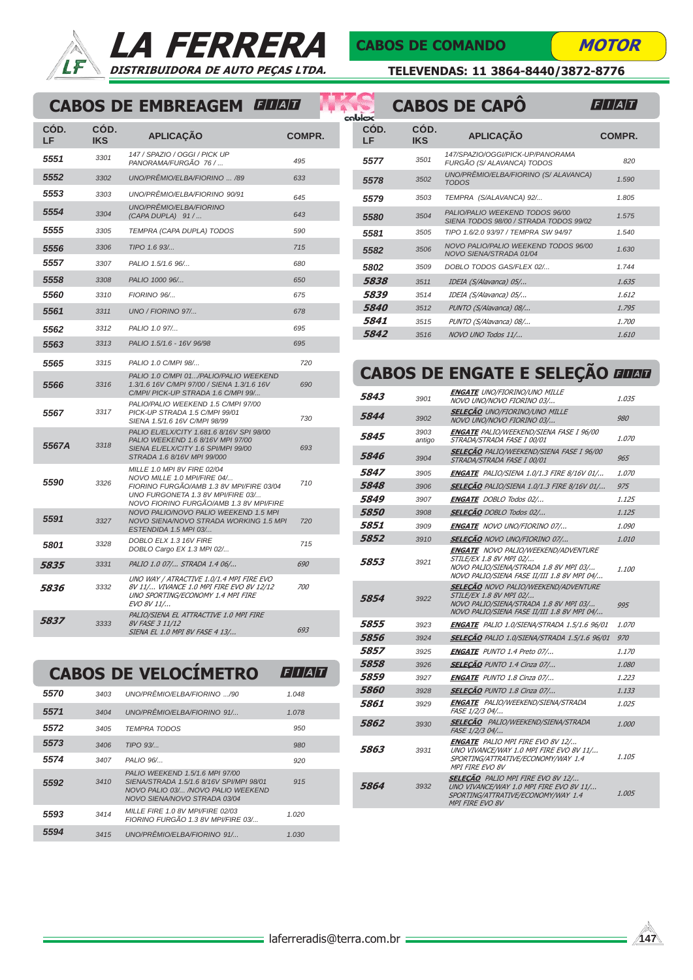



#### CABOS DE COMANDO

K Ħ

**MOTOR** 

TELEVENDAS: 11 3864-8440/3872-8776

### CABOS DE EMBREAGEM ELLE

| COD.<br>LF         | CÓD.<br><b>IKS</b> | <b>APLICAÇÃO</b>                                                                                                                                                                       | COMPR.     |
|--------------------|--------------------|----------------------------------------------------------------------------------------------------------------------------------------------------------------------------------------|------------|
| 5551               | 3301               | 147 / SPAZIO / OGGI / PICK UP<br>PANORAMA/FURGÃO 76 /                                                                                                                                  | 495        |
| 5552               | 3302               | UNO/PRÊMIO/ELBA/FIORINO  /89                                                                                                                                                           | 633        |
| 5553               | 3303               | UNO/PRÊMIO/ELBA/FIORINO 90/91                                                                                                                                                          | 645        |
| 5554               | 3304               | UNO/PRÊMIO/ELBA/FIORINO<br>(CAPA DUPLA) 91 /                                                                                                                                           | 643        |
| 5555               | 3305               | TEMPRA (CAPA DUPLA) TODOS                                                                                                                                                              | 590        |
| 5556               | 3306               | TIPO 1.6 93/                                                                                                                                                                           | 715        |
| 5557               | 3307               | PALIO 1.5/1.6 96/                                                                                                                                                                      | 680        |
| 5558               | 3308               | PALIO 1000 96/                                                                                                                                                                         | 650        |
| <i><b>5560</b></i> | 3310               | FIORINO 96/                                                                                                                                                                            | 675        |
| 5561               | 3311               | UNO / FIORINO 97/                                                                                                                                                                      | 678        |
| 5562               | 3312               | PALIO 1.0 97/                                                                                                                                                                          | 695        |
| 5563               | 3313               | PALIO 1.5/1.6 - 16V 96/98                                                                                                                                                              | 695        |
| 5565               | 3315               | PALIO 1.0 C/MPI 98/                                                                                                                                                                    | 720        |
| 5566               | 3316               | PALIO 1.0 C/MPI 01/PALIO/PALIO WEEKEND<br>1.3/1.6 16V C/MPI 97/00 / SIENA 1.3/1.6 16V<br>C/MPI/ PICK-UP STRADA 1.6 C/MPI 99/                                                           | 690        |
| 5567               | 3317               | PALIO/PALIO WEEKEND 1.5 C/MPI 97/00<br>PICK-UP STRADA 1.5 C/MPI 99/01<br>SIENA 1.5/1.6 16V C/MPI 98/99                                                                                 | 730        |
| 5567A              | 3318               | PALIO EL/ELX/CITY 1.681.6 8/16V SPI 98/00<br>PALIO WEEKEND 1.6 8/16V MPI 97/00<br>SIENA EL/ELX/CITY 1.6 SPI/MPI 99/00<br>STRADA 1.6 8/16V MPI 99/000                                   | 693        |
| 5590               | 3326               | MILLE 1.0 MPI 8V FIRE 02/04<br>NOVO MILLE 1.0 MPI/FIRE 04/<br>FIORINO FURGÃO/AMB 1.3 8V MPI/FIRE 03/04<br>UNO FURGONETA 1.3 8V MPI/FIRE 03/<br>NOVO FIORINO FURGÃO/AMB 1.3 8V MPI/FIRE | 710        |
| 5591               | 3327               | NOVO PALIO/NOVO PALIO WEEKEND 1.5 MPI<br>NOVO SIENA/NOVO STRADA WORKING 1.5 MPI<br>ESTENDIDA 1.5 MPI 03/                                                                               | 720        |
| 5801               | 3328               | DOBLO ELX 1.3 16V FIRE<br>DOBLO Cargo EX 1.3 MPI 02/                                                                                                                                   | 715        |
| 5835               | 3331               | PALIO 1.0 07/ STRADA 1.4 06/                                                                                                                                                           | 690        |
| 5836               | 3332               | UNO WAY / ATRACTIVE 1.0/1.4 MPI FIRE EVO<br>8V 11/ VIVANCE 1.0 MPI FIRE EVO 8V 12/12<br>UNO SPORTING/ECONOMY 1.4 MPI FIRE<br>EVO 8V 11/                                                | <i>700</i> |
| 5837               | 3333               | PALIO/SIENA EL ATTRACTIVE 1.0 MPI FIRE<br>8V FASE 3 11/12<br>SIENA EL 1.0 MPI 8V FASE 4 13/                                                                                            | 693        |

#### CABOS DE VELOCÍMETRO  $F/I/A/T$

| 5570 | 3403 | UNO/PRÊMIO/ELBA/FIORINO /90                                                                                                                       | 1.048 |  |
|------|------|---------------------------------------------------------------------------------------------------------------------------------------------------|-------|--|
| 5571 | 3404 | UNO/PRÊMIO/ELBA/FIORINO 91/                                                                                                                       | 1.078 |  |
| 5572 | 3405 | <b>TEMPRA TODOS</b>                                                                                                                               | 950   |  |
| 5573 | 3406 | $TIPO$ $93/$                                                                                                                                      | 980   |  |
| 5574 | 3407 | PALIO 96/                                                                                                                                         | 920   |  |
| 5592 | 3410 | PALIO WEEKEND 1.5/1 6 MPL 97/00<br>SIENA/STRADA 1.5/1.6 8/16V SPI/MPI 98/01<br>NOVO PALIO 03/ /NOVO PALIO WEEKEND<br>NOVO SIENA/NOVO STRADA 03/04 | 915   |  |
| 5593 | 3414 | MILLE FIRE 1.0 8V MPI/FIRE 02/03<br>FIORINO FURGÃO 1.3 8V MPI/FIRE 03/                                                                            | 1.020 |  |
| 5594 | 3415 | <b>UNO/PRÊMIO/ELBA/FIORINO 91/</b>                                                                                                                | 1.030 |  |

| coblex             |                    | <b>CABOS DE CAPO</b>                                                      | $\bm{F}/I/\bm{A}/T$ |
|--------------------|--------------------|---------------------------------------------------------------------------|---------------------|
| CÓD.<br>LF         | CÓD.<br><b>IKS</b> | <b>APLICACÃO</b>                                                          | COMPR.              |
| 5577               | 3501               | 147/SPAZIO/OGGI/PICK-UP/PANORAMA<br>FURGÃO (S/ ALAVANCA) TODOS            | 820                 |
| 5578               | 3502               | UNO/PRÊMIO/ELBA/FIORINO (S/ ALAVANCA)<br><b>TODOS</b>                     | 1.590               |
| 5579               | 3503               | TEMPRA (S/ALAVANCA) 92/                                                   | 1.805               |
| 5580               | 3504               | PALIO/PALIO WEEKEND TODOS 96/00<br>SIENA TODOS 98/00 / STRADA TODOS 99/02 | 1.575               |
| 5581               | 3505               | TIPO 1.6/2.0 93/97 / TEMPRA SW 94/97                                      | 1.540               |
| 5582               | 3506               | NOVO PALIO/PALIO WEEKEND TODOS 96/00<br>NOVO SIENA/STRADA 01/04           | 1.630               |
| 5802               | 3509               | DOBLO TODOS GAS/FLEX 02/                                                  | 1.744               |
| 5838               | 3511               | IDEIA (S/Alavanca) 05/                                                    | 1.635               |
| 5839               | 3514               | IDEIA (S/Alavanca) 05/                                                    | 1.612               |
| <i><b>5840</b></i> | 3512               | PUNTO (S/Alavanca) 08/                                                    | 1.795               |
| 5841               | 3515               | PUNTO (S/Alavanca) 08/                                                    | 1.700               |
| 5842               | 3516               | NOVO UNO Todos 11/                                                        | 1.610               |

## CABOS DE ENGATE E SELEÇÃO **anan**

| 5843 | 3901           | <b>ENGATE</b> UNO/FIORINO/UNO MILLE<br>NOVO UNO/NOVO FIORINO 03/                                                                                                | 1.035        |
|------|----------------|-----------------------------------------------------------------------------------------------------------------------------------------------------------------|--------------|
| 5844 | 3902           | <b>SELECÃO UNO/FIORINO/UNO MILLE</b><br>NOVO UNO/NOVO FIORINO 03/                                                                                               | 980          |
| 5845 | 3903<br>antigo | <b>ENGATE</b> PALIO/WEEKEND/SIENA FASE I 96/00<br>STRADA/STRADA FASE I 00/01                                                                                    | 1.070        |
| 5846 | 3904           | <b>SELECÃO</b> PALIO/WEEKEND/SIENA FASE I 96/00<br>STRADA/STRADA FASE I 00/01                                                                                   | 965          |
| 5847 | 3905           | <b>ENGATE</b> PALIO/SIENA 1.0/1.3 FIRE 8/16V 01/                                                                                                                | 1.070        |
| 5848 | 3906           | SELEÇÃO PALIO/SIENA 1.0/1.3 FIRE 8/16V 01/                                                                                                                      | 975          |
| 5849 | 3907           | <b>ENGATE</b> DOBLO Todos 02/                                                                                                                                   | 1.125        |
| 5850 | 3908           | <b>SELECÃO</b> DOBLO Todos 02/                                                                                                                                  | 1.125        |
| 5851 | 3909           | <b>ENGATE</b> NOVO UNO/FIORINO 07/                                                                                                                              | <i>1.090</i> |
| 5852 | 3910           | <b>SELEÇÃO NOVO UNO/FIORINO 07/</b>                                                                                                                             | 1.010        |
| 5853 | 3921           | <b>ENGATE</b> NOVO PALIO/WEEKEND/ADVENTURE<br>STILE/EX 1.8 8V MPI 02/<br>NOVO PALIO/SIENA/STRADA 1.8 8V MPI 03/<br>NOVO PALIO/SIENA FASE II/III 1.8 8V MPI 04/  | 1.100        |
| 5854 | 3922           | <b>SELECÃO NOVO PALIO/WEEKEND/ADVENTURE</b><br>STILE/EX 1.8 8V MPI 02/<br>NOVO PALIO/SIENA/STRADA 1.8 8V MPI 03/<br>NOVO PALIO/SIENA FASE II/III 1.8 8V MPI 04/ | 995          |
| 5855 | 3923           | ENGATE PALIO 1.0/SIENA/STRADA 1.5/1.6 96/01                                                                                                                     | 1.070        |
| 5856 | 3924           | SELECÃO PALIO 1.0/SIENA/STRADA 1.5/1.6 96/01                                                                                                                    | 970          |
| 5857 | 3925           | <b>ENGATE</b> PUNTO 1.4 Preto 07/                                                                                                                               | 1.170        |
| 5858 | 3926           | <b>SELEÇÃO</b> PUNTO 1.4 Cinza 07/                                                                                                                              | 1.080        |
| 5859 | 3927           | <b>ENGATE</b> PUNTO 1.8 Cinza 07/                                                                                                                               | 1.223        |
| 5860 | 3928           | <b>SELECÃO</b> PUNTO 1.8 Cinza 07/                                                                                                                              | 1.133        |
| 5861 | 3929           | <b>ENGATE</b> PALIO/WEEKEND/SIENA/STRADA<br>FASE 1/2/3 04/                                                                                                      | 1.025        |
| 5862 | 3930           | <b>SELEÇÃO</b> PALIO/WEEKEND/SIENA/STRADA<br>FASE 1/2/3 04/                                                                                                     | 1.000        |
| 5863 | 3931           | <b>ENGATE</b> PALIO MPI FIRE EVO 8V 12/<br>UNO VIVANCE/WAY 1.0 MPI FIRE EVO 8V 11/<br>SPORTING/ATTRATIVE/ECONOMY/WAY 1.4<br>MPI FIRE EVO 8V                     | 1.105        |
| 5864 | 3932           | <b>SELECÃO</b> PALIO MPI FIRE EVO 8V 12/<br>UNO VIVANCE/WAY 1.0 MPI FIRE EVO 8V 11/<br>SPORTING/ATTRATIVE/ECONOMY/WAY 1.4<br><b>MPI FIRE EVO 8V</b>             | 1.005        |
|      |                |                                                                                                                                                                 |              |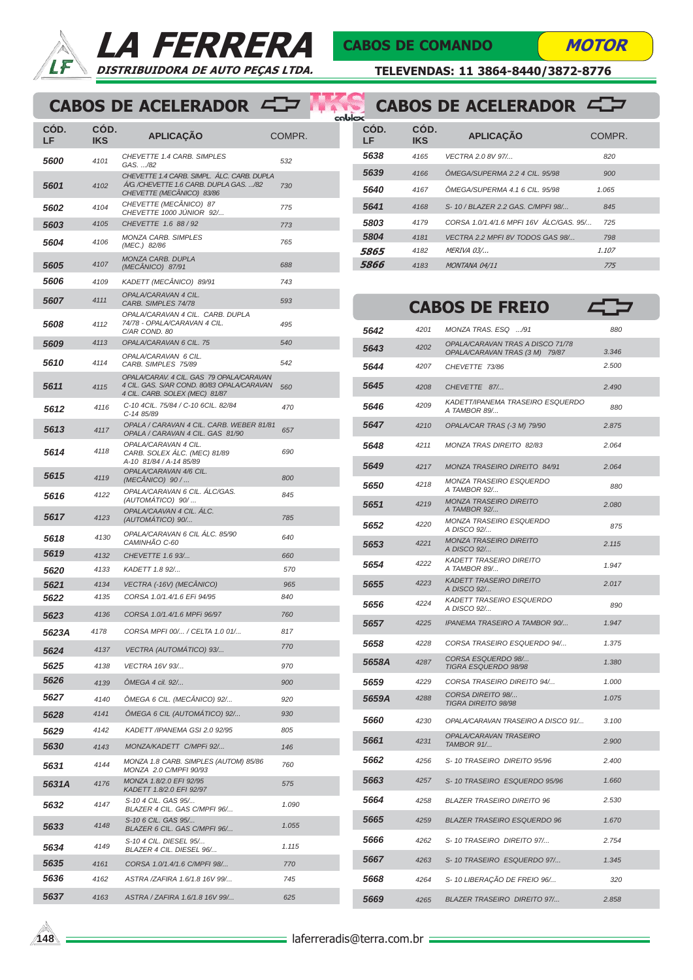

## LA FERRERA DISTRIBUIDORA DE AUTO PEÇAS LTDA.

#### CABOS DE COMANDO

KĶ Ħ

**MOTOR** 

TELEVENDAS: 11 3864-8440/3872-8776

## CABOS DE ACELERADOR

| CÓD.<br>LF         | CÓD.<br>IKS  | <b>APLICAÇÃO</b>                                                                                                         | COMPR.     |
|--------------------|--------------|--------------------------------------------------------------------------------------------------------------------------|------------|
| <i><b>5600</b></i> | 4101         | CHEVETTE 1.4 CARB. SIMPLES<br>GAS. /82                                                                                   | 532        |
| 5601               | 4102         | CHEVETTE 1.4 CARB. SIMPL. ÁLC. CARB. DUPLA<br>A/G /CHEVETTE 1.6 CARB. DUPLA GAS. /82<br>CHEVETTE (MECÂNICO) 83/86        | 730        |
| 5602               | 4104         | CHEVETTE (MECÂNICO) 87<br>CHEVETTE 1000 JÚNIOR 92/                                                                       | 775        |
| 5603               | 4105         | CHEVETTE 1.6 88 / 92                                                                                                     | 773        |
| 5604               | 4106         | MONZA CARB. SIMPLES<br>(MEC.) 82/86                                                                                      | 765        |
| 5605               | 4107         | MONZA CARB. DUPLA<br>(MECÂNICO) 87/91                                                                                    | 688        |
| 5606               | 4109         | KADETT (MECÂNICO) 89/91                                                                                                  | 743        |
| 5607               | 4111         | OPALA/CARAVAN 4 CIL.<br>CARB. SIMPLES 74/78                                                                              | 593        |
| 5608               | 4112         | OPALA/CARAVAN 4 CIL. CARB. DUPLA<br>74/78 - OPALA/CARAVAN 4 CIL.<br>C/AR COND. 80                                        | 495        |
| 5609               | 4113         | OPALA/CARAVAN 6 CIL. 75                                                                                                  | 540        |
| 5610               | 4114         | OPALA/CARAVAN 6 CIL.<br>CARB. SIMPLES 75/89                                                                              | 542        |
| 5611               | 4115         | OPALA/CARAV. 4 CIL. GAS 79 OPALA/CARAVAN<br>4 CIL. GAS. S/AR COND. 80/83 OPALA/CARAVAN<br>4 CIL. CARB. SOLEX (MEC) 81/87 | 560        |
| 5612               | 4116         | C-10 4CIL. 75/84 / C-10 6CIL. 82/84<br>C-14 85/89                                                                        | 470        |
| 5613               | 4117         | OPALA / CARAVAN 4 CIL. CARB. WEBER 81/81<br>OPALA / CARAVAN 4 CIL. GAS 81/90                                             | 657        |
| 5614               | 4118         | OPALA/CARAVAN 4 CIL.<br>CARB. SOLEX ÁLC. (MEC) 81/89<br>A-10 81/84 / A-14 85/89                                          | 690        |
| 5615               | 4119         | OPALA/CARAVAN 4/6 CIL.<br>(MECANICO) 90 /                                                                                | 800        |
| 5616               | 4122         | OPALA/CARAVAN 6 CIL. ALC/GAS.<br>(AUTOMATICO) 90/                                                                        | 845        |
| 5617               | 4123         | OPALA/CAAVAN 4 CIL. ÁLC.<br>(AUTOMATICO) 90/                                                                             | 785        |
| 5618               | 4130         | OPALA/CARAVAN 6 CIL ÁLC. 85/90<br>CAMINHÃO C-60                                                                          | 640        |
| 5619               | 4132         | CHEVETTE 1.6 93/                                                                                                         | 660        |
| 5620               | 4133         | KADETT 1.8 92/                                                                                                           | 570        |
| 5621               | 4134<br>4135 | VECTRA (-16V) (MECÂNICO)<br>CORSA 1.0/1.4/1.6 EFi 94/95                                                                  | 965<br>840 |
| 5622               |              |                                                                                                                          |            |
| 5623<br>5623A      | 4136<br>4178 | CORSA 1.0/1.4/1.6 MPFi 96/97<br>CORSA MPFI 00/ / CELTA 1.0 01/                                                           | 760<br>817 |
|                    |              |                                                                                                                          | 770        |
| 5624               | 4137         | VECTRA (AUTOMATICO) 93/                                                                                                  | 970        |
| 5625<br>5626       | 4138         | VECTRA 16V 93/                                                                                                           |            |
|                    | 4139         | ÖMEGA 4 cil. 92/                                                                                                         | 900        |
| 5627               | 4140         | ÔMEGA 6 CIL. (MECÂNICO) 92/                                                                                              | 920        |
| 5628               | 4141         | ÔMEGA 6 CIL (AUTOMÁTICO) 92/                                                                                             | 930        |
| 5629               | 4142         | KADETT /IPANEMA GSI 2.0 92/95                                                                                            | 805        |
| 5630               | 4143         | MONZA/KADETT C/MPFi 92/                                                                                                  | 146        |
| 5631               | 4144         | MONZA 1.8 CARB. SIMPLES (AUTOM) 85/86<br>MONZA 2.0 C/MPFI 90/93<br>MONZA 1.8/2.0 EFI 92/95                               | 760        |
| 5631A              | 4176         | KADETT 1.8/2.0 EFI 92/97                                                                                                 | 575        |
| 5632               | 4147         | S-10 4 CIL. GAS 95/<br>BLAZER 4 CIL. GAS C/MPFI 96/                                                                      | 1.090      |
| 5633               | 4148         | S-10 6 CIL. GAS 95/<br>BLAZER 6 CIL. GAS C/MPFI 96/                                                                      | 1.055      |
| 5634               | 4149         | S-10 4 CIL. DIESEL 95/<br>BLAZER 4 CIL. DIESEL 96/                                                                       | 1.115      |
| 5635               | 4161         | CORSA 1.0/1.4/1.6 C/MPFI 98/                                                                                             | 770        |
| 5636               | 4162         | ASTRA / ZAFIRA 1.6/1.8 16V 99/                                                                                           | 745        |
| 5637               | 4163         | ASTRA / ZAFIRA 1.6/1.8 16V 99/                                                                                           | 625        |

| coblex |            |                    | CABOS DE ACELERADOR                     |        |
|--------|------------|--------------------|-----------------------------------------|--------|
|        | CÓD.<br>LF | CÓD.<br><b>IKS</b> | <b>APLICAÇÃO</b>                        | COMPR. |
|        | 5638       | 4165               | VECTRA 2.0 8V 97/                       | 820    |
|        | 5639       | 4166               | ÔMEGA/SUPERMA 2.2 4 CIL. 95/98          | 900    |
|        | 5640       | 4167               | ÔMEGA/SUPERMA 4.1 6 CIL. 95/98          | 1.065  |
|        | 5641       | 4168               | S-10 / BLAZER 2.2 GAS, C/MPFI 98/       | 845    |
|        | 5803       | 4179               | CORSA 1.0/1.4/1.6 MPFI 16V ÁLC/GAS, 95/ | 725    |
|        | 5804       | 4181               | VECTRA 2.2 MPFI 8V TODOS GAS 98/        | 798    |
|        | 5865       | 4182               | MERIVA 03/                              | 1.107  |
|        | 5866       | 4183               | MONTANA 04/11                           | 775    |

|       |      | <b>CABOS DE FREIO</b>                                                       |
|-------|------|-----------------------------------------------------------------------------|
| 5642  | 4201 | MONZA TRAS. ESQ /91<br>880                                                  |
| 5643  | 4202 | OPALA/CARAVAN TRAS A DISCO 71/78<br>OPALA/CARAVAN TRAS (3 M) 79/87<br>3.346 |
| 5644  | 4207 | 2.500<br>CHEVETTE 73/86                                                     |
| 5645  | 4208 | CHEVETTE 87/<br>2.490                                                       |
| 5646  | 4209 | KADETT/IPANEMA TRASEIRO ESQUERDO<br>880<br>A TAMBOR 89/                     |
| 5647  | 4210 | OPALA/CAR TRAS (-3 M) 79/90<br>2.875                                        |
| 5648  | 4211 | MONZA TRAS DIREITO 82/83<br>2.064                                           |
| 5649  | 4217 | MONZA TRASEIRO DIREITO 84/91<br>2.064                                       |
| 5650  | 4218 | MONZA TRASEIRO ESQUERDO<br>880<br>A TAMBOR 92/                              |
| 5651  | 4219 | <b>MONZA TRASEIRO DIREITO</b><br>2.080<br>A TAMBOR 92/                      |
| 5652  | 4220 | MONZA TRASEIRO ESQUERDO<br>875<br>A DISCO 92/                               |
| 5653  | 4221 | <b>MONZA TRASEIRO DIREITO</b><br>2.115<br>A DISCO 92/                       |
| 5654  | 4222 | KADETT TRASEIRO DIREITO<br>1.947<br>A TAMBOR 89/                            |
| 5655  | 4223 | <b>KADETT TRASEIRO DIREITO</b><br>2.017<br>A DISCO 92/                      |
| 5656  | 4224 | KADETT TRASEIRO ESQUERDO<br>890<br>A DISCO 92/                              |
| 5657  | 4225 | IPANEMA TRASEIRO A TAMBOR 90/<br>1.947                                      |
| 5658  | 4228 | CORSA TRASEIRO ESQUERDO 94/<br>1.375                                        |
| 5658A | 4287 | CORSA ESQUERDO 98/<br>1.380<br>TIGRA ESQUERDO 98/98                         |
| 5659  | 4229 | CORSA TRASEIRO DIREITO 94/<br>1.000                                         |
| 5659A | 4288 | CORSA DIREITO 98/<br>1.075<br>TIGRA DIREITO 98/98                           |
| 5660  | 4230 | OPALA/CARAVAN TRASEIRO A DISCO 91/<br>3.100                                 |
| 5661  | 4231 | OPALA/CARAVAN TRASEIRO<br>2.900<br>TAMBOR 91/                               |
| 5662  | 4256 | S- 10 TRASEIRO DIREITO 95/96<br>2.400                                       |
| 5663  | 4257 | S- 10 TRASEIRO ESQUERDO 95/96<br>1.660                                      |
| 5664  | 4258 | <b>BLAZER TRASEIRO DIREITO 96</b><br>2.530                                  |
| 5665  | 4259 | <b>BLAZER TRASEIRO ESQUERDO 96</b><br>1.670                                 |
| 5666  | 4262 | S-10 TRASEIRO DIREITO 97/<br>2.754                                          |
| 5667  | 4263 | S- 10 TRASEIRO ESQUERDO 97/<br>1.345                                        |
| 5668  | 4264 | S- 10 LIBERAÇÃO DE FREIO 96/<br>320                                         |
| 5669  | 4265 | <b>BLAZER TRASEIRO DIREITO 97/</b><br>2.858                                 |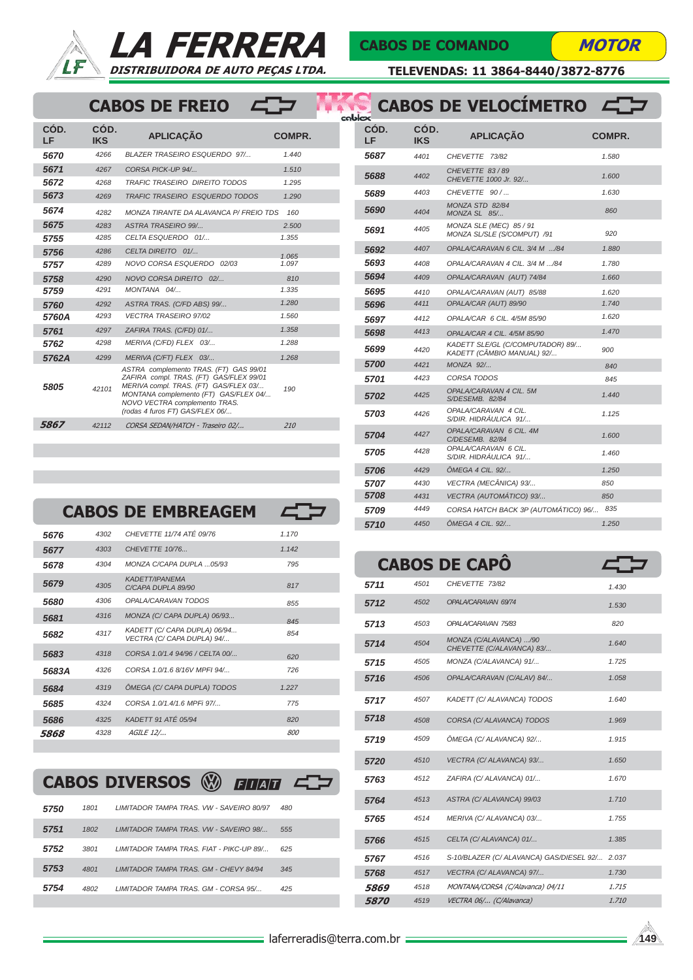



 $\sqrt{2}$ 

#### CABOS DE COMANDO

**MOTOR** 

TELEVENDAS: 11 3864-8440/3872-8776

### CABOS DE FREIO

|            |                    |                                                                                                                                                                                                                                         |        | cab |
|------------|--------------------|-----------------------------------------------------------------------------------------------------------------------------------------------------------------------------------------------------------------------------------------|--------|-----|
| CÓD.<br>LF | CÓD.<br><b>IKS</b> | <b>APLICAÇÃO</b>                                                                                                                                                                                                                        | COMPR. |     |
| 5670       | 4266               | <b>BLAZER TRASEIRO ESQUERDO 97/</b>                                                                                                                                                                                                     | 1.440  |     |
| 5671       | 4267               | CORSA PICK-UP 94/                                                                                                                                                                                                                       | 1.510  |     |
| 5672       | 4268               | <b>TRAFIC TRASEIRO DIREITO TODOS</b>                                                                                                                                                                                                    | 1.295  |     |
| 5673       | 4269               | <b>TRAFIC TRASEIRO ESQUERDO TODOS</b>                                                                                                                                                                                                   | 1.290  |     |
| 5674       | 4282               | MONZA TIRANTE DA ALAVANCA P/ FREIO TDS                                                                                                                                                                                                  | 160    |     |
| 5675       | 4283               | <b>ASTRA TRASEIRO 99/</b>                                                                                                                                                                                                               | 2.500  |     |
| 5755       | 4285               | CELTA ESQUERDO 01/                                                                                                                                                                                                                      | 1.355  |     |
| 5756       | 4286               | CELTA DIREITO 01/                                                                                                                                                                                                                       | 1.065  |     |
| 5757       | 4289               | NOVO CORSA ESQUERDO 02/03                                                                                                                                                                                                               | 1.097  |     |
| 5758       | 4290               | NOVO CORSA DIREITO 02/                                                                                                                                                                                                                  | 810    |     |
| 5759       | 4291               | MONTANA 04/                                                                                                                                                                                                                             | 1.335  |     |
| 5760       | 42.92              | ASTRA TRAS. (C/FD ABS) 99/                                                                                                                                                                                                              | 1.280  |     |
| 5760A      | 4293               | <b>VECTRA TRASEIRO 97/02</b>                                                                                                                                                                                                            | 1.560  |     |
| 5761       | 4297               | ZAFIRA TRAS. (C/FD) 01/                                                                                                                                                                                                                 | 1.358  |     |
| 5762       | 4298               | MERIVA (C/FD) FLEX 03/                                                                                                                                                                                                                  | 1.288  |     |
| 5762A      | 4299               | MERIVA (C/FT) FLEX 03/                                                                                                                                                                                                                  | 1.268  |     |
| 5805       | 42101              | ASTRA complemento TRAS. (FT) GAS 99/01<br>ZAFIRA compl. TRAS. (FT) GAS/FLEX 99/01<br>MERIVA compl. TRAS. (FT) GAS/FLEX 03/<br>MONTANA complemento (FT) GAS/FLEX 04/<br>NOVO VECTRA complemento TRAS.<br>(rodas 4 furos FT) GAS/FLEX 06/ | 190    |     |
| 5867       | 42112              | CORSA SEDAN/HATCH - Traseiro 02/                                                                                                                                                                                                        | 210    |     |
|            |                    |                                                                                                                                                                                                                                         |        |     |

| œ          |             | <b>CABOS DE VELOCÍMETRO</b>                                    |               |
|------------|-------------|----------------------------------------------------------------|---------------|
| CÓD.<br>LF | CÓD.<br>IKS | <b>APLICACÃO</b>                                               | <b>COMPR.</b> |
| 5687       | 4401        | CHEVETTE 73/82                                                 | 1.580         |
| 5688       | 4402        | CHEVETTE 83/89<br>CHEVETTE 1000 Jr. 92/                        | 1.600         |
| 5689       | 4403        | CHEVETTE 90 /                                                  | 1.630         |
| 5690       | 4404        | MONZA STD 82/84<br>MONZA SL 85/                                | 860           |
| 5691       | 4405        | MONZA SLE (MEC) 85 / 91<br>MONZA SL/SLE (S/COMPUT) /91         | 920           |
| 5692       | 4407        | OPALA/CARAVAN 6 CIL. 3/4 M /84                                 | 1.880         |
| 5693       | 4408        | OPALA/CARAVAN 4 CIL. 3/4 M /84                                 | 1.780         |
| 5694       | 4409        | OPALA/CARAVAN (AUT) 74/84                                      | 1.660         |
| 5695       | 4410        | OPALA/CARAVAN (AUT) 85/88                                      | 1.620         |
| 5696       | 4411        | OPALA/CAR (AUT) 89/90                                          | 1.740         |
| 5697       | 4412        | OPALA/CAR 6 CIL. 4/5M 85/90                                    | 1.620         |
| 5698       | 4413        | OPALA/CAR 4 CIL. 4/5M 85/90                                    | 1.470         |
| 5699       | 4420        | KADETT SLE/GL (C/COMPUTADOR) 89/<br>KADETT (CÂMBIO MANUAL) 92/ | 900           |
| 5700       | 4421        | <b>MONZA 92/</b>                                               | 840           |
| 5701       | 4423        | CORSA TODOS                                                    | 845           |
| 5702       | 4425        | OPALA/CARAVAN 4 CIL. 5M<br>S/DESEMB. 82/84                     | 1.440         |
| 5703       | 4426        | OPALA/CARAVAN 4 CIL.<br>S/DIR. HIDRAULICA 91/                  | 1.125         |
| 5704       | 4427        | OPALA/CARAVAN 6 CIL. 4M<br>C/DESEMB. 82/84                     | 1.600         |
| 5705       | 4428        | OPALA/CARAVAN 6 CIL.<br>S/DIR. HIDRÁULICA 91/                  | 1.460         |
| 5706       | 4429        | ÔMEGA 4 CIL. 92/                                               | 1.250         |
| 5707       | 4430        | VECTRA (MECÂNICA) 93/                                          | 850           |
| 5708       | 4431        | VECTRA (AUTOMÁTICO) 93/                                        | 850           |
| 5709       | 4449        | CORSA HATCH BACK 3P (AUTOMÁTICO) 96/                           | 835           |
| 5710       | 4450        | ÔMEGA 4 CIL. 92/                                               | 1.250         |

|       |      | <b>CABOS DE EMBREAGEM</b>                                  |       |
|-------|------|------------------------------------------------------------|-------|
| 5676  | 4302 | CHEVETTE 11/74 ATÉ 09/76                                   | 1.170 |
| 5677  | 4303 | CHEVETTE 10/76                                             | 1.142 |
| 5678  | 4304 | MONZA C/CAPA DUPLA  05/93                                  | 795   |
| 5679  | 4305 | <b>KADETT/IPANEMA</b><br>C/CAPA DUPLA 89/90                | 817   |
| 5680  | 4306 | OPALA/CARAVAN TODOS                                        | 855   |
| 5681  | 4316 | MONZA (C/ CAPA DUPLA) 06/93                                | 845   |
| 5682  | 4317 | KADETT (C/ CAPA DUPLA) 06/94<br>VECTRA (C/ CAPA DUPLA) 94/ | 854   |
| 5683  | 4318 | CORSA 1.0/1.4 94/96 / CELTA 00/                            | 620   |
| 5683A | 4326 | CORSA 1.0/1.6 8/16V MPFI 94/                               | 726   |
| 5684  | 4319 | ÔMEGA (C/ CAPA DUPLA) TODOS                                | 1.227 |
| 5685  | 4324 | CORSA 1.0/1.4/1.6 MPFi 97/                                 | 775   |
| 5686  | 4325 | KADETT 91 ATÉ 05/94                                        | 820   |
| 5868  | 4328 | AGILE 12/                                                  | 800   |

| CABOS DIVERSOS <sup>®</sup> ENERT EST |  |  |  |
|---------------------------------------|--|--|--|
|---------------------------------------|--|--|--|

| 5750 | 1801 | LIMITADOR TAMPA TRAS. VW - SAVEIRO 80/97  | 480 |
|------|------|-------------------------------------------|-----|
| 5751 | 1802 | LIMITADOR TAMPA TRAS. VW - SAVEIRO 98/    | 555 |
| 5752 | 3801 | I IMITADOR TAMPA TRAS FIAT - PIKC-LIP 89/ | 625 |
| 5753 | 4801 | LIMITADOR TAMPA TRAS. GM - CHEVY 84/94    | 345 |
| 5754 | 4802 | I IMITADOR TAMPA TRAS GM - CORSA 95/      | 425 |

|                    |      | <b>CABOS DE CAPO</b>                                |       |
|--------------------|------|-----------------------------------------------------|-------|
| 5711               | 4501 | CHEVETTE 73/82                                      | 1.430 |
| 5712               | 4502 | OPALA/CARAVAN 69/74                                 | 1.530 |
| 5713               | 4503 | OPALA/CARAVAN 75/83                                 | 820   |
| 5714               | 4504 | MONZA (C/ALAVANCA) /90<br>CHEVETTE (C/ALAVANCA) 83/ | 1.640 |
| 5715               | 4505 | MONZA (C/ALAVANCA) 91/                              | 1.725 |
| 5716               | 4506 | OPALA/CARAVAN (C/ALAV) 84/                          | 1.058 |
| 5717               | 4507 | KADETT (C/ ALAVANCA) TODOS                          | 1.640 |
| 5718               | 4508 | CORSA (C/ ALAVANCA) TODOS                           | 1.969 |
| 5719               | 4509 | ÔMEGA (C/ ALAVANCA) 92/                             | 1.915 |
| 5720               | 4510 | VECTRA (C/ ALAVANCA) 93/                            | 1.650 |
| 5763               | 4512 | ZAFIRA (C/ ALAVANCA) 01/                            | 1.670 |
| 5764               | 4513 | ASTRA (C/ ALAVANCA) 99/03                           | 1.710 |
| 5765               | 4514 | MERIVA (C/ ALAVANCA) 03/                            | 1.755 |
| 5766               | 4515 | CELTA (C/ ALAVANCA) 01/                             | 1.385 |
| 5767               | 4516 | S-10/BLAZER (C/ ALAVANCA) GAS/DIESEL 92/            | 2.037 |
| 5768               | 4517 | VECTRA (C/ ALAVANCA) 97/                            | 1.730 |
| 5869               | 4518 | MONTANA/CORSA (C/Alavanca) 04/11                    | 1.715 |
| <i><b>5870</b></i> | 4519 | VECTRA 06/ (C/Alavanca)                             | 1.710 |